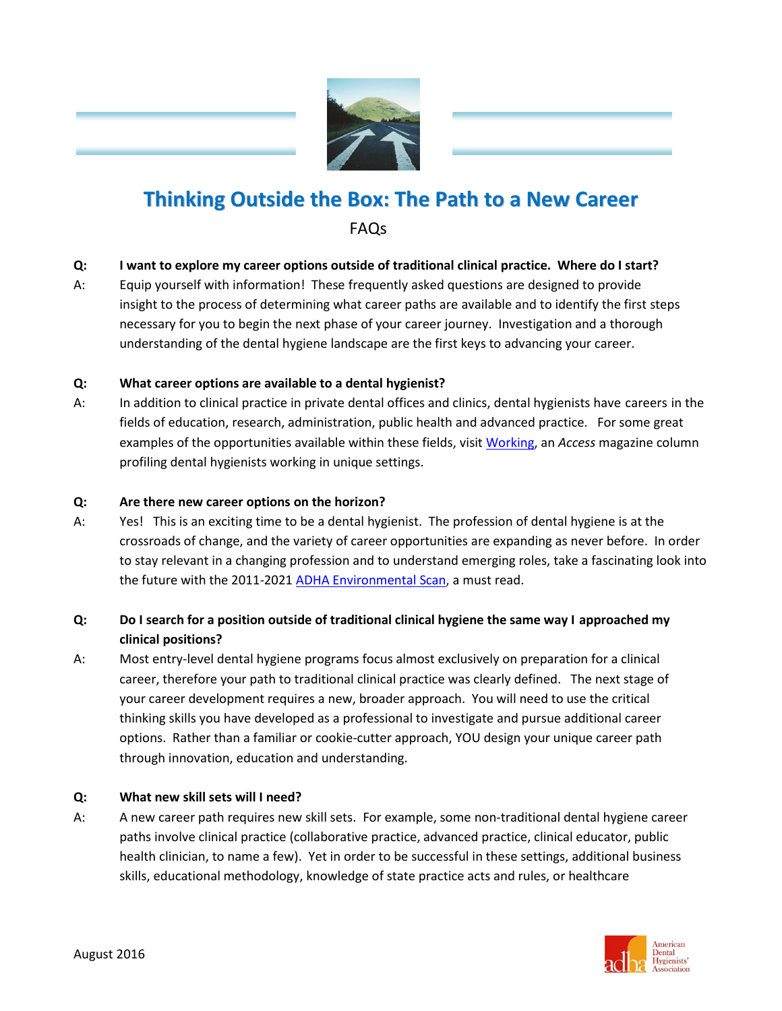

# **Thinking Outside the Box: The Path to a New Career** FAQs

# **Q: I want to explore my career options outside of traditional clinical practice. Where do I start?**

A: Equip yourself with information! These frequently asked questions are designed to provide insight to the process of determining what career paths are available and to identify the first steps necessary for you to begin the next phase of your career journey. Investigation and a thorough understanding of the dental hygiene landscape are the first keys to advancing your career.

# **Q: What career options are available to a dental hygienist?**

A: In addition to clinical practice in private dental offices and clinics, dental hygienists have careers in the fields of education, research, administration, public health and advanced practice. For some great examples of the opportunities available within these fields, visit [Working,](http://www.adha.org/working) an *Access* magazine column profiling dental hygienists working in unique settings.

## **Q: Are there new career options on the horizon?**

A: Yes! This is an exciting time to be a dental hygienist. The profession of dental hygiene is at the crossroads of change, and the variety of career opportunities are expanding as never before. In order to stay relevant in a changing profession and to understand emerging roles, take a fascinating look into the future with the 2011-202[1 ADHA Environmental Scan,](http://www.adha.org/resources-docs/7117_ADHA_Environmental_Scan.pdf) a must read.

# **Q: Do I search for a position outside of traditional clinical hygiene the same way I approached my clinical positions?**

A: Most entry-level dental hygiene programs focus almost exclusively on preparation for a clinical career, therefore your path to traditional clinical practice was clearly defined. The next stage of your career development requires a new, broader approach. You will need to use the critical thinking skills you have developed as a professional to investigate and pursue additional career options. Rather than a familiar or cookie-cutter approach, YOU design your unique career path through innovation, education and understanding.

# **Q: What new skill sets will I need?**

A: A new career path requires new skill sets. For example, some non-traditional dental hygiene career paths involve clinical practice (collaborative practice, advanced practice, clinical educator, public health clinician, to name a few). Yet in order to be successful in these settings, additional business skills, educational methodology, knowledge of state practice acts and rules, or healthcare



I